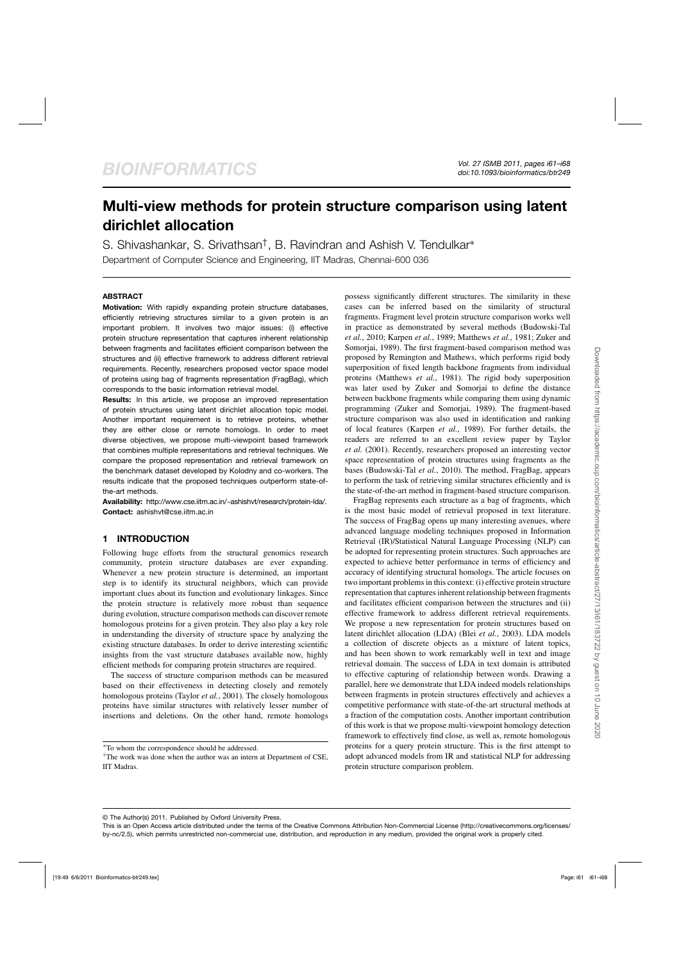# **Multi-view methods for protein structure comparison using latent dirichlet allocation**

S. Shivashankar, S. Srivathsan†, B. Ravindran and Ashish V. Tendulkar<sup>∗</sup> Department of Computer Science and Engineering, IIT Madras, Chennai-600 036

## **ABSTRACT**

**Motivation:** With rapidly expanding protein structure databases, efficiently retrieving structures similar to a given protein is an important problem. It involves two major issues: (i) effective protein structure representation that captures inherent relationship between fragments and facilitates efficient comparison between the structures and (ii) effective framework to address different retrieval requirements. Recently, researchers proposed vector space model of proteins using bag of fragments representation (FragBag), which corresponds to the basic information retrieval model.

**Results:** In this article, we propose an improved representation of protein structures using latent dirichlet allocation topic model. Another important requirement is to retrieve proteins, whether they are either close or remote homologs. In order to meet diverse objectives, we propose multi-viewpoint based framework that combines multiple representations and retrieval techniques. We compare the proposed representation and retrieval framework on the benchmark dataset developed by Kolodny and co-workers. The results indicate that the proposed techniques outperform state-ofthe-art methods.

**Availability:** http://www.cse.iitm.ac.in/~ashishvt/research/protein-lda/. **Contact:** ashishvt@cse.iitm.ac.in

## **1 INTRODUCTION**

Following huge efforts from the structural genomics research community, protein structure databases are ever expanding. Whenever a new protein structure is determined, an important step is to identify its structural neighbors, which can provide important clues about its function and evolutionary linkages. Since the protein structure is relatively more robust than sequence during evolution, structure comparison methods can discover remote homologous proteins for a given protein. They also play a key role in understanding the diversity of structure space by analyzing the existing structure databases. In order to derive interesting scientific insights from the vast structure databases available now, highly efficient methods for comparing protein structures are required.

The success of structure comparison methods can be measured based on their effectiveness in detecting closely and remotely homologous proteins (Taylor *et al.*, 2001). The closely homologous proteins have similar structures with relatively lesser number of insertions and deletions. On the other hand, remote homologs

possess significantly different structures. The similarity in these cases can be inferred based on the similarity of structural fragments. Fragment level protein structure comparison works well in practice as demonstrated by several methods (Budowski-Tal *et al.*, 2010; Karpen *et al.*, 1989; Matthews *et al.*, 1981; Zuker and Somorjai, 1989). The first fragment-based comparison method was proposed by Remington and Mathews, which performs rigid body superposition of fixed length backbone fragments from individual proteins (Matthews *et al.*, 1981). The rigid body superposition was later used by Zuker and Somorjai to define the distance between backbone fragments while comparing them using dynamic programming (Zuker and Somorjai, 1989). The fragment-based structure comparison was also used in identification and ranking of local features (Karpen *et al.*, 1989). For further details, the readers are referred to an excellent review paper by Taylor *et al.* (2001). Recently, researchers proposed an interesting vector space representation of protein structures using fragments as the bases (Budowski-Tal *et al.*, 2010). The method, FragBag, appears to perform the task of retrieving similar structures efficiently and is the state-of-the-art method in fragment-based structure comparison.

FragBag represents each structure as a bag of fragments, which is the most basic model of retrieval proposed in text literature. The success of FragBag opens up many interesting avenues, where advanced language modeling techniques proposed in Information Retrieval (IR)/Statistical Natural Language Processing (NLP) can be adopted for representing protein structures. Such approaches are expected to achieve better performance in terms of efficiency and accuracy of identifying structural homologs. The article focuses on two important problems in this context: (i) effective protein structure representation that captures inherent relationship between fragments and facilitates efficient comparison between the structures and (ii) effective framework to address different retrieval requirements. We propose a new representation for protein structures based on latent dirichlet allocation (LDA) (Blei *et al.*, 2003). LDA models a collection of discrete objects as a mixture of latent topics, and has been shown to work remarkably well in text and image retrieval domain. The success of LDA in text domain is attributed to effective capturing of relationship between words. Drawing a parallel, here we demonstrate that LDA indeed models relationships between fragments in protein structures effectively and achieves a competitive performance with state-of-the-art structural methods at a fraction of the computation costs. Another important contribution of this work is that we propose multi-viewpoint homology detection framework to effectively find close, as well as, remote homologous proteins for a query protein structure. This is the first attempt to adopt advanced models from IR and statistical NLP for addressing protein structure comparison problem.

© The Author(s) 2011. Published by Oxford University Press.

<sup>∗</sup>To whom the correspondence should be addressed.

<sup>&</sup>lt;sup>†</sup>The work was done when the author was an intern at Department of CSE, IIT Madras.

This is an Open Access article distributed under the terms of the Creative Commons Attribution Non-Commercial License (http://creativecommons.org/licenses/ by-nc/2.5), which permits unrestricted non-commercial use, distribution, and reproduction in any medium, provided the original work is properly cited.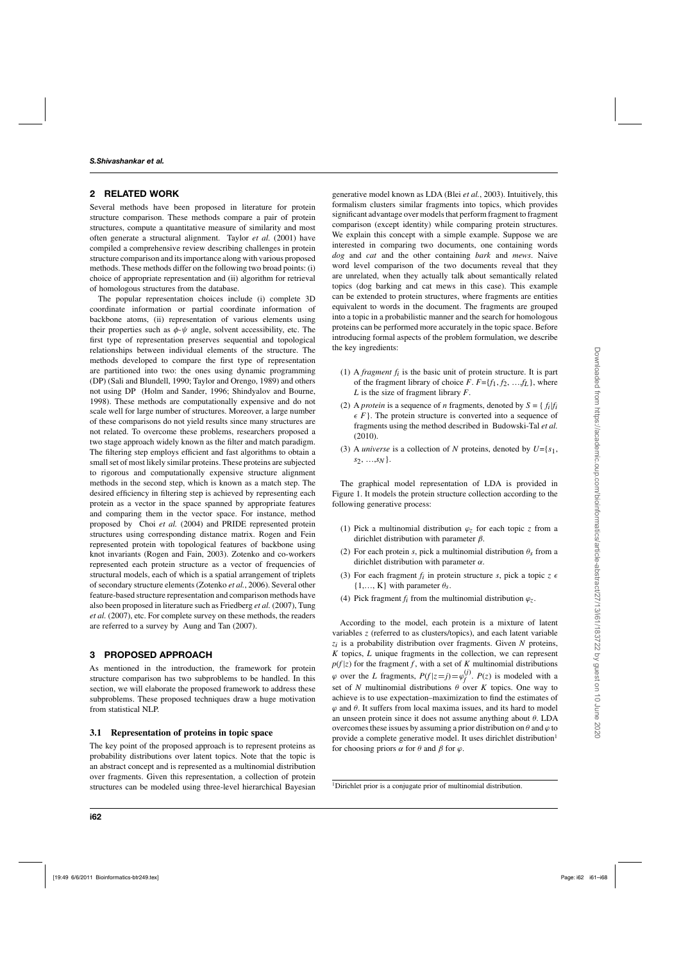# **2 RELATED WORK**

Several methods have been proposed in literature for protein structure comparison. These methods compare a pair of protein structures, compute a quantitative measure of similarity and most often generate a structural alignment. Taylor *et al.* (2001) have compiled a comprehensive review describing challenges in protein structure comparison and its importance along with various proposed methods. These methods differ on the following two broad points: (i) choice of appropriate representation and (ii) algorithm for retrieval of homologous structures from the database.

The popular representation choices include (i) complete 3D coordinate information or partial coordinate information of backbone atoms, (ii) representation of various elements using their properties such as  $\phi$ - $\psi$  angle, solvent accessibility, etc. The first type of representation preserves sequential and topological relationships between individual elements of the structure. The methods developed to compare the first type of representation are partitioned into two: the ones using dynamic programming (DP) (Sali and Blundell, 1990; Taylor and Orengo, 1989) and others not using DP (Holm and Sander, 1996; Shindyalov and Bourne, 1998). These methods are computationally expensive and do not scale well for large number of structures. Moreover, a large number of these comparisons do not yield results since many structures are not related. To overcome these problems, researchers proposed a two stage approach widely known as the filter and match paradigm. The filtering step employs efficient and fast algorithms to obtain a small set of most likely similar proteins. These proteins are subjected to rigorous and computationally expensive structure alignment methods in the second step, which is known as a match step. The desired efficiency in filtering step is achieved by representing each protein as a vector in the space spanned by appropriate features and comparing them in the vector space. For instance, method proposed by Choi *et al.* (2004) and PRIDE represented protein structures using corresponding distance matrix. Rogen and Fein represented protein with topological features of backbone using knot invariants (Rogen and Fain, 2003). Zotenko and co-workers represented each protein structure as a vector of frequencies of structural models, each of which is a spatial arrangement of triplets of secondary structure elements (Zotenko *et al.*, 2006). Several other feature-based structure representation and comparison methods have also been proposed in literature such as Friedberg *et al.* (2007), Tung *et al.* (2007), etc. For complete survey on these methods, the readers are referred to a survey by Aung and Tan (2007).

# **3 PROPOSED APPROACH**

As mentioned in the introduction, the framework for protein structure comparison has two subproblems to be handled. In this section, we will elaborate the proposed framework to address these subproblems. These proposed techniques draw a huge motivation from statistical NLP.

# **3.1 Representation of proteins in topic space**

The key point of the proposed approach is to represent proteins as probability distributions over latent topics. Note that the topic is an abstract concept and is represented as a multinomial distribution over fragments. Given this representation, a collection of protein structures can be modeled using three-level hierarchical Bayesian generative model known as LDA (Blei *et al.*, 2003). Intuitively, this formalism clusters similar fragments into topics, which provides significant advantage over models that perform fragment to fragment comparison (except identity) while comparing protein structures. We explain this concept with a simple example. Suppose we are interested in comparing two documents, one containing words *dog* and *cat* and the other containing *bark* and *mews*. Naive word level comparison of the two documents reveal that they are unrelated, when they actually talk about semantically related topics (dog barking and cat mews in this case). This example can be extended to protein structures, where fragments are entities equivalent to words in the document. The fragments are grouped into a topic in a probabilistic manner and the search for homologous proteins can be performed more accurately in the topic space. Before introducing formal aspects of the problem formulation, we describe the key ingredients:

- (1) A *fragment fi* is the basic unit of protein structure. It is part of the fragment library of choice  $F$ .  $F = \{f_1, f_2, \ldots, f_L\}$ , where *L* is the size of fragment library *F*.
- (2) A *protein* is a sequence of *n* fragments, denoted by  $S = \{f_i | f_i\}$  $\epsilon$  *F* }. The protein structure is converted into a sequence of fragments using the method described in Budowski-Tal *et al.* (2010).
- (3) A *universe* is a collection of *N* proteins, denoted by *U*={*s*1, *s*2, …,*sN*}.

The graphical model representation of LDA is provided in Figure 1. It models the protein structure collection according to the following generative process:

- (1) Pick a multinomial distribution  $\varphi_z$  for each topic *z* from a dirichlet distribution with parameter  $\beta$ .
- (2) For each protein *s*, pick a multinomial distribution  $\theta_s$  from a dirichlet distribution with parameter  $\alpha$ .
- (3) For each fragment  $f_i$  in protein structure *s*, pick a topic  $z \in \mathbb{R}$  $\{1,\ldots,K\}$  with parameter  $\theta_s$ .
- (4) Pick fragment  $f_i$  from the multinomial distribution  $\varphi_z$ .

According to the model, each protein is a mixture of latent variables *z* (referred to as clusters/topics), and each latent variable  $z_i$  is a probability distribution over fragments. Given  $N$  proteins, *K* topics, *L* unique fragments in the collection, we can represent  $p(f|z)$  for the fragment *f*, with a set of *K* multinomial distributions  $\varphi$  over the *L* fragments,  $P(f|z=j) = \varphi_f^{(j)}$ .  $P(z)$  is modeled with a set of *N* multinomial distributions  $\theta$  over *K* topics. One way to achieve is to use expectation–maximization to find the estimates of  $\varphi$  and  $\theta$ . It suffers from local maxima issues, and its hard to model an unseen protein since it does not assume anything about  $\theta$ . LDA overcomes these issues by assuming a prior distribution on  $\theta$  and  $\varphi$  to provide a complete generative model. It uses dirichlet distribution<sup>1</sup> for choosing priors  $\alpha$  for  $\theta$  and  $\beta$  for  $\varphi$ .

<sup>1</sup>Dirichlet prior is a conjugate prior of multinomial distribution.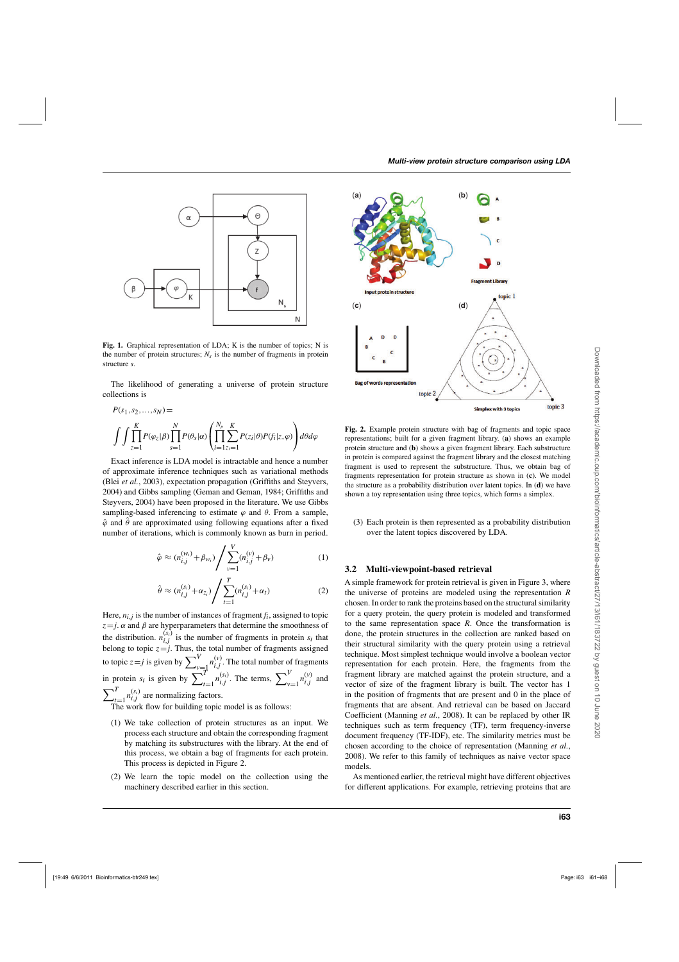

**Fig. 1.** Graphical representation of LDA; K is the number of topics; N is the number of protein structures;  $N_s$  is the number of fragments in protein structure *s*.

The likelihood of generating a universe of protein structure collections is

$$
P(s_1, s_2, ..., s_N) =
$$
  

$$
\int \int \prod_{z=1}^K P(\varphi_z | \beta) \prod_{s=1}^N P(\theta_s | \alpha) \left( \prod_{i=1}^{N_p} \sum_{z_i=1}^K P(z_i | \theta) P(f_i | z, \varphi) \right) d\theta d\varphi
$$

Exact inference is LDA model is intractable and hence a number of approximate inference techniques such as variational methods (Blei *et al.*, 2003), expectation propagation (Griffiths and Steyvers, 2004) and Gibbs sampling (Geman and Geman, 1984; Griffiths and Steyvers, 2004) have been proposed in the literature. We use Gibbs sampling-based inferencing to estimate  $\varphi$  and  $\theta$ . From a sample,  $\hat{\varphi}$  and  $\hat{\theta}$  are approximated using following equations after a fixed number of iterations, which is commonly known as burn in period.

$$
\hat{\varphi} \approx (n_{i,j}^{(w_i)} + \beta_{w_i}) / \sum_{\nu=1}^{V} (n_{i,j}^{(\nu)} + \beta_{\nu})
$$
\n(1)

$$
\hat{\theta} \approx (n_{i,j}^{(s_i)} + \alpha_{z_i}) / \sum_{t=1}^{T} (n_{i,j}^{(s_i)} + \alpha_t)
$$
\n(2)

Here,  $n_{i}$ , *j* is the number of instances of fragment  $f_i$ , assigned to topic  $z = j$ .  $\alpha$  and  $\beta$  are hyperparameters that determine the smoothness of the distribution.  $n_{i,j}^{(s_i)}$  is the number of fragments in protein  $s_i$  that belong to topic  $z = j$ . Thus, the total number of fragments assigned to topic  $z = j$  is given by  $\sum_{\substack{v=1 \ r_i}}^{V} n_{i,j}^{(v)}$ . The total number of fragments in protein  $s_i$  is given by  $\sum_{t=1}^T n_{i,j}^{(s_i)}$ . The terms,  $\sum_{\nu=1}^V n_{i,j}^{(\nu)}$  and  $\sum^{T}$  $\sum_{t=1}^{T} n_{i,j}^{(s_i)}$  are normalizing factors. The work flow for building topic model is as follows:

- (1) We take collection of protein structures as an input. We process each structure and obtain the corresponding fragment by matching its substructures with the library. At the end of this process, we obtain a bag of fragments for each protein. This process is depicted in Figure 2.
- (2) We learn the topic model on the collection using the machinery described earlier in this section.



**Fig. 2.** Example protein structure with bag of fragments and topic space representations; built for a given fragment library. (**a**) shows an example protein structure and (**b**) shows a given fragment library. Each substructure in protein is compared against the fragment library and the closest matching fragment is used to represent the substructure. Thus, we obtain bag of fragments representation for protein structure as shown in (**c**). We model the structure as a probability distribution over latent topics. In (**d**) we have shown a toy representation using three topics, which forms a simplex.

(3) Each protein is then represented as a probability distribution over the latent topics discovered by LDA.

#### **3.2 Multi-viewpoint-based retrieval**

A simple framework for protein retrieval is given in Figure 3, where the universe of proteins are modeled using the representation *R* chosen. In order to rank the proteins based on the structural similarity for a query protein, the query protein is modeled and transformed to the same representation space *R*. Once the transformation is done, the protein structures in the collection are ranked based on their structural similarity with the query protein using a retrieval technique. Most simplest technique would involve a boolean vector representation for each protein. Here, the fragments from the fragment library are matched against the protein structure, and a vector of size of the fragment library is built. The vector has 1 in the position of fragments that are present and 0 in the place of fragments that are absent. And retrieval can be based on Jaccard Coefficient (Manning *et al.*, 2008). It can be replaced by other IR techniques such as term frequency (TF), term frequency-inverse document frequency (TF-IDF), etc. The similarity metrics must be chosen according to the choice of representation (Manning *et al.*, 2008). We refer to this family of techniques as naive vector space models.

As mentioned earlier, the retrieval might have different objectives for different applications. For example, retrieving proteins that are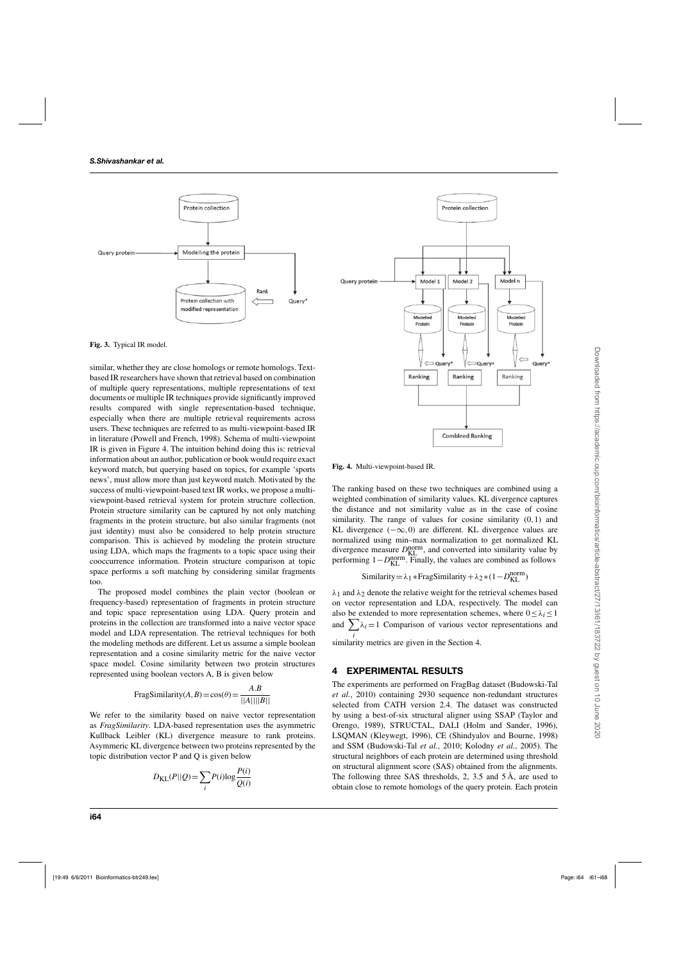

**Fig. 3.** Typical IR model.

similar, whether they are close homologs or remote homologs. Textbased IR researchers have shown that retrieval based on combination of multiple query representations, multiple representations of text documents or multiple IR techniques provide significantly improved results compared with single representation-based technique, especially when there are multiple retrieval requirements across users. These techniques are referred to as multi-viewpoint-based IR in literature (Powell and French, 1998). Schema of multi-viewpoint IR is given in Figure 4. The intuition behind doing this is: retrieval information about an author, publication or book would require exact keyword match, but querying based on topics, for example 'sports news', must allow more than just keyword match. Motivated by the success of multi-viewpoint-based text IR works, we propose a multiviewpoint-based retrieval system for protein structure collection. Protein structure similarity can be captured by not only matching fragments in the protein structure, but also similar fragments (not just identity) must also be considered to help protein structure comparison. This is achieved by modeling the protein structure using LDA, which maps the fragments to a topic space using their cooccurrence information. Protein structure comparison at topic space performs a soft matching by considering similar fragments too.

The proposed model combines the plain vector (boolean or frequency-based) representation of fragments in protein structure and topic space representation using LDA. Query protein and proteins in the collection are transformed into a naive vector space model and LDA representation. The retrieval techniques for both the modeling methods are different. Let us assume a simple boolean representation and a cosine similarity metric for the naive vector space model. Cosine similarity between two protein structures represented using boolean vectors A, B is given below

FragSimilarity
$$
(A, B) = cos(\theta) = \frac{A.B}{||A|| ||B||}
$$

We refer to the similarity based on naive vector representation as *FragSimilarity*. LDA-based representation uses the asymmetric Kullback Leibler (KL) divergence measure to rank proteins. Asymmeric KL divergence between two proteins represented by the topic distribution vector P and Q is given below

$$
D_{\text{KL}}(P||Q) = \sum_{i} P(i) \log \frac{P(i)}{Q(i)}
$$



**Fig. 4.** Multi-viewpoint-based IR.

The ranking based on these two techniques are combined using a weighted combination of similarity values. KL divergence captures the distance and not similarity value as in the case of cosine similarity. The range of values for cosine similarity (0,1) and KL divergence  $(-\infty,0)$  are different. KL divergence values are normalized using min–max normalization to get normalized KL divergence measure  $D_{KL}^{norm}$ , and converted into similarity value by performing  $1 - D_{KL}^{\text{norm}}$ . Finally, the values are combined as follows

Similarly = 
$$
\lambda_1 * \text{FragSimilarity} + \lambda_2 * (1 - D_{KL}^{norm})
$$

 $\lambda_1$  and  $\lambda_2$  denote the relative weight for the retrieval schemes based on vector representation and LDA, respectively. The model can also be extended to more representation schemes, where  $0 \leq \lambda_i \leq 1$ and  $\sum \lambda_i = 1$  Comparison of various vector representations and

 $\frac{i}{\text{similarity}}$  metrics are given in the Section 4.

# **4 EXPERIMENTAL RESULTS**

The experiments are performed on FragBag dataset (Budowski-Tal *et al.*, 2010) containing 2930 sequence non-redundant structures selected from CATH version 2.4. The dataset was constructed by using a best-of-six structural aligner using SSAP (Taylor and Orengo, 1989), STRUCTAL, DALI (Holm and Sander, 1996), LSQMAN (Kleywegt, 1996), CE (Shindyalov and Bourne, 1998) and SSM (Budowski-Tal *et al.*, 2010; Kolodny *et al.*, 2005). The structural neighbors of each protein are determined using threshold on structural alignment score (SAS) obtained from the alignments. The following three SAS thresholds, 2, 3.5 and 5 Å, are used to obtain close to remote homologs of the query protein. Each protein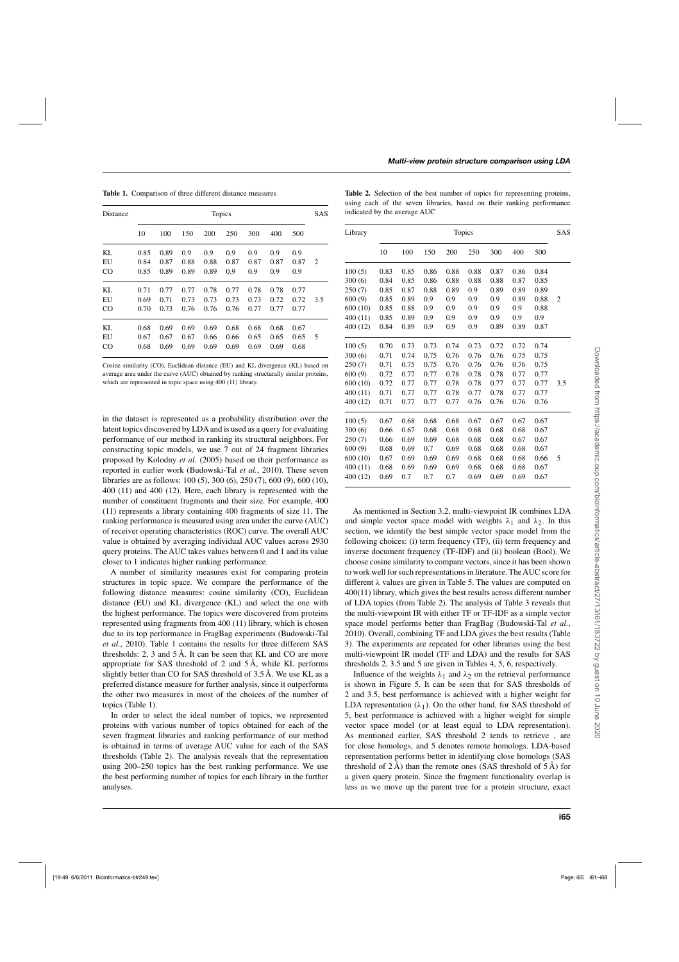**Table 1.** Comparison of three different distance measures

| Distance    |      | Topics |      |      |      |      |      |      |                |  |  |
|-------------|------|--------|------|------|------|------|------|------|----------------|--|--|
|             | 10   | 100    | 150  | 200  | 250  | 300  | 400  | 500  |                |  |  |
| KL          | 0.85 | 0.89   | 0.9  | 0.9  | 0.9  | 0.9  | 0.9  | 0.9  |                |  |  |
| EU          | 0.84 | 0.87   | 0.88 | 0.88 | 0.87 | 0.87 | 0.87 | 0.87 | $\overline{c}$ |  |  |
| $_{\rm CO}$ | 0.85 | 0.89   | 0.89 | 0.89 | 0.9  | 0.9  | 0.9  | 0.9  |                |  |  |
| KL          | 0.71 | 0.77   | 0.77 | 0.78 | 0.77 | 0.78 | 0.78 | 0.77 |                |  |  |
| EU          | 0.69 | 0.71   | 0.73 | 0.73 | 0.73 | 0.73 | 0.72 | 0.72 | 3.5            |  |  |
| $_{\rm CO}$ | 0.70 | 0.73   | 0.76 | 0.76 | 0.76 | 0.77 | 0.77 | 0.77 |                |  |  |
| KL          | 0.68 | 0.69   | 0.69 | 0.69 | 0.68 | 0.68 | 0.68 | 0.67 |                |  |  |
| EU          | 0.67 | 0.67   | 0.67 | 0.66 | 0.66 | 0.65 | 0.65 | 0.65 | 5              |  |  |
| $_{\rm CO}$ | 0.68 | 0.69   | 0.69 | 0.69 | 0.69 | 0.69 | 0.69 | 0.68 |                |  |  |

Cosine similarity (CO), Euclidean distance (EU) and KL divergence (KL) based on average area under the curve (AUC) obtained by ranking structurally similar proteins, which are represented in topic space using 400 (11) library.

in the dataset is represented as a probability distribution over the latent topics discovered by LDA and is used as a query for evaluating performance of our method in ranking its structural neighbors. For constructing topic models, we use 7 out of 24 fragment libraries proposed by Kolodny *et al.* (2005) based on their performance as reported in earlier work (Budowski-Tal *et al.*, 2010). These seven libraries are as follows: 100 (5), 300 (6), 250 (7), 600 (9), 600 (10), 400 (11) and 400 (12). Here, each library is represented with the number of constituent fragments and their size. For example, 400 (11) represents a library containing 400 fragments of size 11. The ranking performance is measured using area under the curve (AUC) of receiver operating characteristics (ROC) curve. The overall AUC value is obtained by averaging individual AUC values across 2930 query proteins. The AUC takes values between 0 and 1 and its value closer to 1 indicates higher ranking performance.

A number of similarity measures exist for comparing protein structures in topic space. We compare the performance of the following distance measures: cosine similarity (CO), Euclidean distance (EU) and KL divergence (KL) and select the one with the highest performance. The topics were discovered from proteins represented using fragments from 400 (11) library, which is chosen due to its top performance in FragBag experiments (Budowski-Tal *et al.*, 2010). Table 1 contains the results for three different SAS thresholds: 2, 3 and 5 Å. It can be seen that KL and CO are more appropriate for SAS threshold of 2 and 5 Å, while KL performs slightly better than CO for SAS threshold of 3.5 Å. We use KL as a preferred distance measure for further analysis, since it outperforms the other two measures in most of the choices of the number of topics (Table 1).

In order to select the ideal number of topics, we represented proteins with various number of topics obtained for each of the seven fragment libraries and ranking performance of our method is obtained in terms of average AUC value for each of the SAS thresholds (Table 2). The analysis reveals that the representation using 200–250 topics has the best ranking performance. We use the best performing number of topics for each library in the further analyses.

|  |  |                              |  |  | <b>Table 2.</b> Selection of the best number of topics for representing proteins, |  |
|--|--|------------------------------|--|--|-----------------------------------------------------------------------------------|--|
|  |  |                              |  |  | using each of the seven libraries, based on their ranking performance             |  |
|  |  | indicated by the average AUC |  |  |                                                                                   |  |

| Library  | <b>Topics</b> |      |      |      |      |      |      |      |     |  |
|----------|---------------|------|------|------|------|------|------|------|-----|--|
|          | 10            | 100  | 150  | 200  | 250  | 300  | 400  | 500  |     |  |
| 100(5)   | 0.83          | 0.85 | 0.86 | 0.88 | 0.88 | 0.87 | 0.86 | 0.84 |     |  |
| 300(6)   | 0.84          | 0.85 | 0.86 | 0.88 | 0.88 | 0.88 | 0.87 | 0.85 |     |  |
| 250(7)   | 0.85          | 0.87 | 0.88 | 0.89 | 0.9  | 0.89 | 0.89 | 0.89 |     |  |
| 600(9)   | 0.85          | 0.89 | 0.9  | 0.9  | 0.9  | 0.9  | 0.89 | 0.88 | 2   |  |
| 600 (10) | 0.85          | 0.88 | 0.9  | 0.9  | 0.9  | 0.9  | 0.9  | 0.88 |     |  |
| 400 (11) | 0.85          | 0.89 | 0.9  | 0.9  | 0.9  | 0.9  | 0.9  | 0.9  |     |  |
| 400 (12) | 0.84          | 0.89 | 0.9  | 0.9  | 0.9  | 0.89 | 0.89 | 0.87 |     |  |
| 100(5)   | 0.70          | 0.73 | 0.73 | 0.74 | 0.73 | 0.72 | 0.72 | 0.74 |     |  |
| 300(6)   | 0.71          | 0.74 | 0.75 | 0.76 | 0.76 | 0.76 | 0.75 | 0.75 |     |  |
| 250(7)   | 0.71          | 0.75 | 0.75 | 0.76 | 0.76 | 0.76 | 0.76 | 0.75 |     |  |
| 600 (9)  | 0.72          | 0.77 | 0.77 | 0.78 | 0.78 | 0.78 | 0.77 | 0.77 |     |  |
| 600 (10) | 0.72          | 0.77 | 0.77 | 0.78 | 0.78 | 0.77 | 0.77 | 0.77 | 3.5 |  |
| 400 (11) | 0.71          | 0.77 | 0.77 | 0.78 | 0.77 | 0.78 | 0.77 | 0.77 |     |  |
| 400 (12) | 0.71          | 0.77 | 0.77 | 0.77 | 0.76 | 0.76 | 0.76 | 0.76 |     |  |
| 100(5)   | 0.67          | 0.68 | 0.68 | 0.68 | 0.67 | 0.67 | 0.67 | 0.67 |     |  |
| 300(6)   | 0.66          | 0.67 | 0.68 | 0.68 | 0.68 | 0.68 | 0.68 | 0.67 |     |  |
| 250 (7)  | 0.66          | 0.69 | 0.69 | 0.68 | 0.68 | 0.68 | 0.67 | 0.67 |     |  |
| 600 (9)  | 0.68          | 0.69 | 0.7  | 0.69 | 0.68 | 0.68 | 0.68 | 0.67 |     |  |
| 600 (10) | 0.67          | 0.69 | 0.69 | 0.69 | 0.68 | 0.68 | 0.68 | 0.66 | 5   |  |
| 400 (11) | 0.68          | 0.69 | 0.69 | 0.69 | 0.68 | 0.68 | 0.68 | 0.67 |     |  |
| 400 (12) | 0.69          | 0.7  | 0.7  | 0.7  | 0.69 | 0.69 | 0.69 | 0.67 |     |  |

As mentioned in Section 3.2, multi-viewpoint IR combines LDA and simple vector space model with weights  $\lambda_1$  and  $\lambda_2$ . In this section, we identify the best simple vector space model from the following choices: (i) term frequency (TF), (ii) term frequency and inverse document frequency (TF-IDF) and (ii) boolean (Bool). We choose cosine similarity to compare vectors, since it has been shown to work well for such representations in literature. TheAUC score for different  $\lambda$  values are given in Table 5. The values are computed on 400(11) library, which gives the best results across different number of LDA topics (from Table 2). The analysis of Table 3 reveals that the multi-viewpoint IR with either TF or TF-IDF as a simple vector space model performs better than FragBag (Budowski-Tal *et al.*, 2010). Overall, combining TF and LDA gives the best results (Table 3). The experiments are repeated for other libraries using the best multi-viewpoint IR model (TF and LDA) and the results for SAS thresholds 2, 3.5 and 5 are given in Tables 4, 5, 6, respectively.

Influence of the weights  $\lambda_1$  and  $\lambda_2$  on the retrieval performance is shown in Figure 5. It can be seen that for SAS thresholds of 2 and 3.5, best performance is achieved with a higher weight for LDA representation  $(\lambda_1)$ . On the other hand, for SAS threshold of 5, best performance is achieved with a higher weight for simple vector space model (or at least equal to LDA representation). As mentioned earlier, SAS threshold 2 tends to retrieve , are for close homologs, and 5 denotes remote homologs. LDA-based representation performs better in identifying close homologs (SAS threshold of  $2 \text{ Å}$ ) than the remote ones (SAS threshold of  $5 \text{ Å}$ ) for a given query protein. Since the fragment functionality overlap is less as we move up the parent tree for a protein structure, exact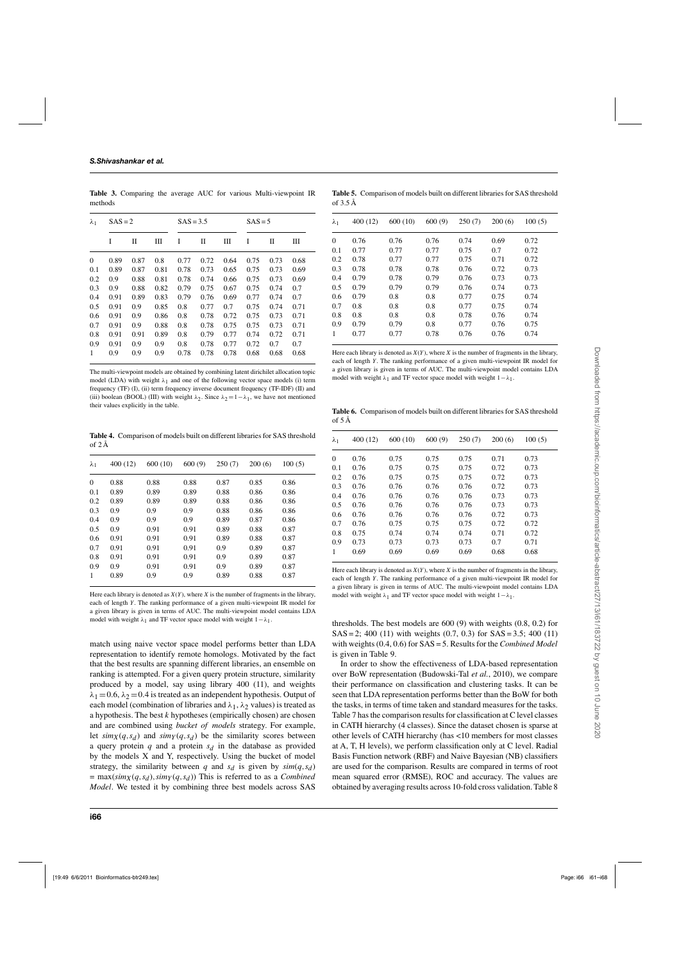$\lambda_1$  SAS = 2 SAS = 3.5 SAS = 5 I II III I II III I II III 0 0.89 0.87 0.8 0.77 0.72 0.64 0.75 0.73 0.68 0.1 0.89 0.87 0.81 0.78 0.73 0.65 0.75 0.73 0.69 0.2 0.9 0.88 0.81 0.78 0.74 0.66 0.75 0.73 0.69 0.3 0.9 0.88 0.82 0.79 0.75 0.67 0.75 0.74 0.7 0.4 0.91 0.89 0.83 0.79 0.76 0.69 0.77 0.74 0.7 0.5 0.91 0.9 0.85 0.8 0.77 0.7 0.75 0.74 0.71 0.6 0.91 0.9 0.86 0.8 0.78 0.72 0.75 0.73 0.71 0.7 0.91 0.9 0.88 0.8 0.78 0.75 0.75 0.73 0.71 0.8 0.91 0.91 0.89 0.8 0.79 0.77 0.74 0.72 0.71 0.9 0.91 0.9 0.9 0.8 0.78 0.77 0.72 0.7 0.7 1 0.9 0.9 0.9 0.78 0.78 0.78 0.68 0.68 0.68

**Table 3.** Comparing the average AUC for various Multi-viewpoint IR methods

The multi-viewpoint models are obtained by combining latent dirichilet allocation topic model (LDA) with weight  $\lambda_1$  and one of the following vector space models (i) term frequency (TF) (I), (ii) term frequency inverse document frequency (TF-IDF) (II) and (iii) boolean (BOOL) (III) with weight  $\lambda_2$ . Since  $\lambda_2 = 1 - \lambda_1$ , we have not mentioned their values explicitly in the table.

**Table 4.** Comparison of models built on different libraries for SAS threshold  $\alpha$ f 2 Å

| $\lambda_1$  | 400(12) | 600(10) | 600(9) | 250(7) | 200(6) | 100(5) |
|--------------|---------|---------|--------|--------|--------|--------|
| $\mathbf{0}$ | 0.88    | 0.88    | 0.88   | 0.87   | 0.85   | 0.86   |
| 0.1          | 0.89    | 0.89    | 0.89   | 0.88   | 0.86   | 0.86   |
| 0.2          | 0.89    | 0.89    | 0.89   | 0.88   | 0.86   | 0.86   |
| 0.3          | 0.9     | 0.9     | 0.9    | 0.88   | 0.86   | 0.86   |
| 0.4          | 0.9     | 0.9     | 0.9    | 0.89   | 0.87   | 0.86   |
| 0.5          | 0.9     | 0.91    | 0.91   | 0.89   | 0.88   | 0.87   |
| 0.6          | 0.91    | 0.91    | 0.91   | 0.89   | 0.88   | 0.87   |
| 0.7          | 0.91    | 0.91    | 0.91   | 0.9    | 0.89   | 0.87   |
| 0.8          | 0.91    | 0.91    | 0.91   | 0.9    | 0.89   | 0.87   |
| 0.9          | 0.9     | 0.91    | 0.91   | 0.9    | 0.89   | 0.87   |
| 1            | 0.89    | 0.9     | 0.9    | 0.89   | 0.88   | 0.87   |

Here each library is denoted as *X*(*Y*), where *X* is the number of fragments in the library, each of length *Y*. The ranking performance of a given multi-viewpoint IR model for a given library is given in terms of AUC. The multi-viewpoint model contains LDA model with weight  $\lambda_1$  and TF vector space model with weight  $1-\lambda_1$ .

match using naive vector space model performs better than LDA representation to identify remote homologs. Motivated by the fact that the best results are spanning different libraries, an ensemble on ranking is attempted. For a given query protein structure, similarity produced by a model, say using library 400 (11), and weights  $\lambda_1 = 0.6$ ,  $\lambda_2 = 0.4$  is treated as an independent hypothesis. Output of each model (combination of libraries and  $\lambda_1$ ,  $\lambda_2$  values) is treated as a hypothesis. The best *k* hypotheses (empirically chosen) are chosen and are combined using *bucket of models* strategy. For example, let  $\sinh(x)$  (*q*,*s<sub>d</sub>*) and  $\sinh(y)$  (*q*,*s<sub>d</sub>*) be the similarity scores between a query protein  $q$  and a protein  $s_d$  in the database as provided by the models X and Y, respectively. Using the bucket of model strategy, the similarity between *q* and  $s_d$  is given by  $sim(q, s_d)$  $=$  max( $\sinh_X(q, s_d)$ ,  $\sinY(q, s_d)$ ) This is referred to as a *Combined Model*. We tested it by combining three best models across SAS

**Table 5.** Comparison of models built on different libraries for SAS threshold of 3.5 Å

| $\lambda_1$  | 400 (12) | 600 (10) | 600(9) | 250(7) | 200(6) | 100(5) |
|--------------|----------|----------|--------|--------|--------|--------|
| $\mathbf{0}$ | 0.76     | 0.76     | 0.76   | 0.74   | 0.69   | 0.72   |
| 0.1          | 0.77     | 0.77     | 0.77   | 0.75   | 0.7    | 0.72   |
| 0.2          | 0.78     | 0.77     | 0.77   | 0.75   | 0.71   | 0.72   |
| 0.3          | 0.78     | 0.78     | 0.78   | 0.76   | 0.72   | 0.73   |
| 0.4          | 0.79     | 0.78     | 0.79   | 0.76   | 0.73   | 0.73   |
| 0.5          | 0.79     | 0.79     | 0.79   | 0.76   | 0.74   | 0.73   |
| 0.6          | 0.79     | 0.8      | 0.8    | 0.77   | 0.75   | 0.74   |
| 0.7          | 0.8      | 0.8      | 0.8    | 0.77   | 0.75   | 0.74   |
| 0.8          | 0.8      | 0.8      | 0.8    | 0.78   | 0.76   | 0.74   |
| 0.9          | 0.79     | 0.79     | 0.8    | 0.77   | 0.76   | 0.75   |
| 1            | 0.77     | 0.77     | 0.78   | 0.76   | 0.76   | 0.74   |

Here each library is denoted as  $X(Y)$ , where  $X$  is the number of fragments in the library, each of length *Y*. The ranking performance of a given multi-viewpoint IR model for a given library is given in terms of AUC. The multi-viewpoint model contains LDA model with weight  $\lambda_1$  and TF vector space model with weight  $1-\lambda_1$ .

**Table 6.** Comparison of models built on different libraries for SAS threshold of 5 Å

| $\lambda_1$  | 400 (12) | 600 (10) | 600(9) | 250(7) | 200(6) | 100(5) |
|--------------|----------|----------|--------|--------|--------|--------|
| $\mathbf{0}$ | 0.76     | 0.75     | 0.75   | 0.75   | 0.71   | 0.73   |
| 0.1          | 0.76     | 0.75     | 0.75   | 0.75   | 0.72   | 0.73   |
| 0.2          | 0.76     | 0.75     | 0.75   | 0.75   | 0.72   | 0.73   |
| 0.3          | 0.76     | 0.76     | 0.76   | 0.76   | 0.72   | 0.73   |
| 0.4          | 0.76     | 0.76     | 0.76   | 0.76   | 0.73   | 0.73   |
| 0.5          | 0.76     | 0.76     | 0.76   | 0.76   | 0.73   | 0.73   |
| 0.6          | 0.76     | 0.76     | 0.76   | 0.76   | 0.72   | 0.73   |
| 0.7          | 0.76     | 0.75     | 0.75   | 0.75   | 0.72   | 0.72   |
| 0.8          | 0.75     | 0.74     | 0.74   | 0.74   | 0.71   | 0.72   |
| 0.9          | 0.73     | 0.73     | 0.73   | 0.73   | 0.7    | 0.71   |
| 1            | 0.69     | 0.69     | 0.69   | 0.69   | 0.68   | 0.68   |
|              |          |          |        |        |        |        |

Here each library is denoted as  $X(Y)$ , where  $X$  is the number of fragments in the library, each of length *Y*. The ranking performance of a given multi-viewpoint IR model for a given library is given in terms of AUC. The multi-viewpoint model contains LDA model with weight  $\lambda_1$  and TF vector space model with weight  $1-\lambda_1$ .

thresholds. The best models are 600 (9) with weights (0.8, 0.2) for  $SAS = 2$ ; 400 (11) with weights (0.7, 0.3) for  $SAS = 3.5$ ; 400 (11) with weights (0.4, 0.6) for SAS = 5. Results for the *Combined Model* is given in Table 9.

In order to show the effectiveness of LDA-based representation over BoW representation (Budowski-Tal *et al.*, 2010), we compare their performance on classification and clustering tasks. It can be seen that LDA representation performs better than the BoW for both the tasks, in terms of time taken and standard measures for the tasks. Table 7 has the comparison results for classification at C level classes in CATH hierarchy (4 classes). Since the dataset chosen is sparse at other levels of CATH hierarchy (has <10 members for most classes at A, T, H levels), we perform classification only at C level. Radial Basis Function network (RBF) and Naive Bayesian (NB) classifiers are used for the comparison. Results are compared in terms of root mean squared error (RMSE), ROC and accuracy. The values are obtained by averaging results across 10-fold cross validation. Table 8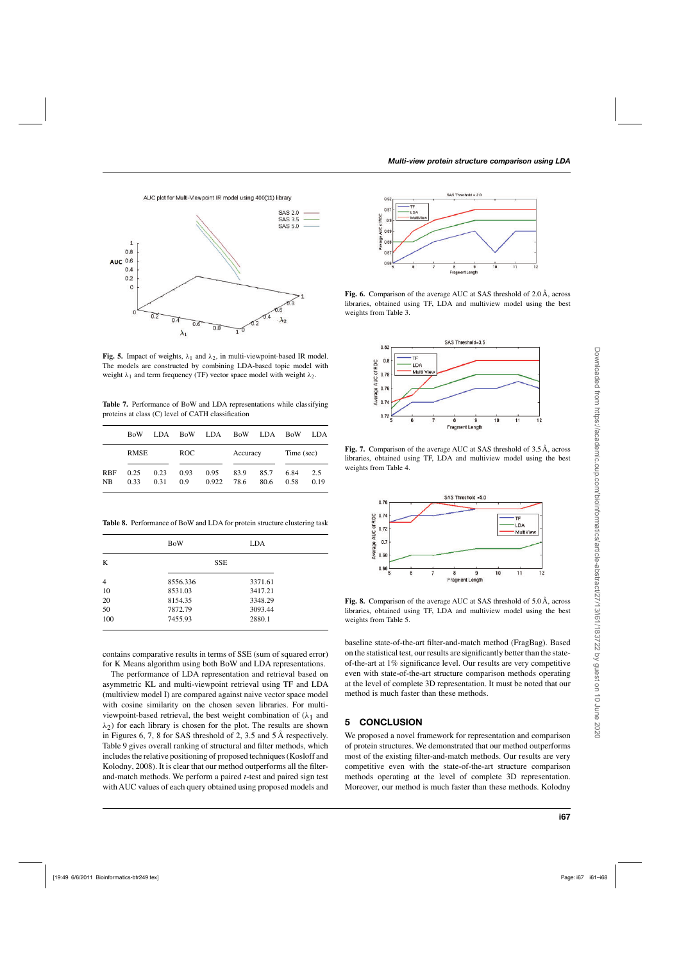AUC plot for Multi-Viewpoint IR model using 400(11) library



**Fig. 5.** Impact of weights,  $\lambda_1$  and  $\lambda_2$ , in multi-viewpoint-based IR model. The models are constructed by combining LDA-based topic model with weight  $\lambda_1$  and term frequency (TF) vector space model with weight  $\lambda_2$ .

**Table 7.** Performance of BoW and LDA representations while classifying proteins at class (C) level of CATH classification

|                  | <b>BoW</b>   | LDA.         | <b>BoW</b>  | LDA           | <b>BoW</b>   | LDA          | <b>BoW</b>   | LDA.        |
|------------------|--------------|--------------|-------------|---------------|--------------|--------------|--------------|-------------|
|                  | <b>RMSE</b>  |              | ROC.        |               | Accuracy     |              | Time (sec)   |             |
| <b>RBF</b><br>NB | 0.25<br>0.33 | 0.23<br>0.31 | 0.93<br>0.9 | 0.95<br>0.922 | 83.9<br>78.6 | 85.7<br>80.6 | 6.84<br>0.58 | 2.5<br>0.19 |

**Table 8.** Performance of BoW and LDA for protein structure clustering task

|                | <b>BoW</b> | <b>LDA</b> |
|----------------|------------|------------|
| K              | <b>SSE</b> |            |
| $\overline{4}$ | 8556.336   | 3371.61    |
| 10             | 8531.03    | 3417.21    |
| 20             | 8154.35    | 3348.29    |
| 50             | 7872.79    | 3093.44    |
| 100            | 7455.93    | 2880.1     |

contains comparative results in terms of SSE (sum of squared error) for K Means algorithm using both BoW and LDA representations.

The performance of LDA representation and retrieval based on asymmetric KL and multi-viewpoint retrieval using TF and LDA (multiview model I) are compared against naive vector space model with cosine similarity on the chosen seven libraries. For multiviewpoint-based retrieval, the best weight combination of  $(\lambda_1)$  and  $\lambda_2$ ) for each library is chosen for the plot. The results are shown in Figures 6, 7, 8 for SAS threshold of 2, 3.5 and 5 Å respectively. Table 9 gives overall ranking of structural and filter methods, which includes the relative positioning of proposed techniques (Kosloff and Kolodny, 2008). It is clear that our method outperforms all the filterand-match methods. We perform a paired *t*-test and paired sign test with AUC values of each query obtained using proposed models and



**Fig. 6.** Comparison of the average AUC at SAS threshold of 2.0 Å, across libraries, obtained using TF, LDA and multiview model using the best weights from Table 3.



**Fig. 7.** Comparison of the average AUC at SAS threshold of 3.5 Å, across libraries, obtained using TF, LDA and multiview model using the best weights from Table 4.



**Fig. 8.** Comparison of the average AUC at SAS threshold of 5.0 Å, across libraries, obtained using TF, LDA and multiview model using the best weights from Table 5.

baseline state-of-the-art filter-and-match method (FragBag). Based on the statistical test, our results are significantly better than the stateof-the-art at 1% significance level. Our results are very competitive even with state-of-the-art structure comparison methods operating at the level of complete 3D representation. It must be noted that our method is much faster than these methods.

# **5 CONCLUSION**

We proposed a novel framework for representation and comparison of protein structures. We demonstrated that our method outperforms most of the existing filter-and-match methods. Our results are very competitive even with the state-of-the-art structure comparison methods operating at the level of complete 3D representation. Moreover, our method is much faster than these methods. Kolodny